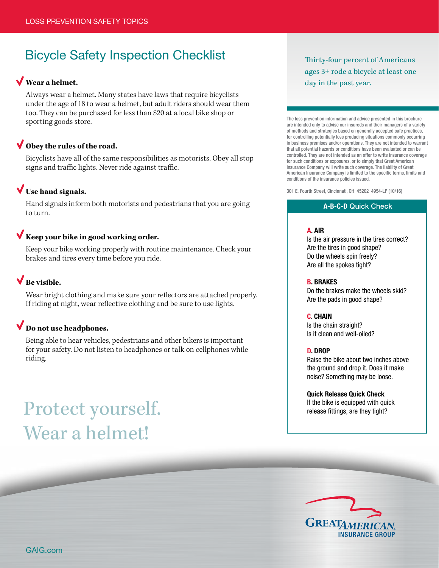# Bicycle Safety Inspection Checklist

### **Wear a helmet.**

Always wear a helmet. Many states have laws that require bicyclists under the age of 18 to wear a helmet, but adult riders should wear them too. They can be purchased for less than \$20 at a local bike shop or sporting goods store.

### **Obey the rules of the road.**

Bicyclists have all of the same responsibilities as motorists. Obey all stop signs and traffic lights. Never ride against traffic.

### **Use hand signals.**

Hand signals inform both motorists and pedestrians that you are going to turn.

### **Keep your bike in good working order.**

Keep your bike working properly with routine maintenance. Check your brakes and tires every time before you ride.

### **Be visible.**

Wear bright clothing and make sure your reflectors are attached properly. If riding at night, wear reflective clothing and be sure to use lights.

### **Do not use headphones.**

Being able to hear vehicles, pedestrians and other bikers is important for your safety. Do not listen to headphones or talk on cellphones while riding.

# Protect yourself. The bike is equipped with quick release fittings, are they tight? Wear a helmet!

Thirty-four percent of Americans ages 3+ rode a bicycle at least one day in the past year.

The loss prevention information and advice presented in this brochure are intended only to advise our insureds and their managers of a variety of methods and strategies based on generally accepted safe practices, for controlling potentially loss producing situations commonly occurring in business premises and/or operations. They are not intended to warrant that all potential hazards or conditions have been evaluated or can be controlled. They are not intended as an offer to write insurance coverage for such conditions or exposures, or to simply that Great American Insurance Company will write such coverage. The liability of Great American Insurance Company is limited to the specific terms, limits and conditions of the insurance policies issued.

301 E. Fourth Street, Cincinnati, OH 45202 4954-LP (10/16)

### A-B-C-D Quick Check

### A. AIR

Is the air pressure in the tires correct? Are the tires in good shape? Do the wheels spin freely? Are all the spokes tight?

### B. BRAKES

Do the brakes make the wheels skid? Are the pads in good shape?

### C. CHAIN

Is the chain straight? Is it clean and well-oiled?

#### D. DROP

Raise the bike about two inches above the ground and drop it. Does it make noise? Something may be loose.

### Quick Release Quick Check



GAIG.com